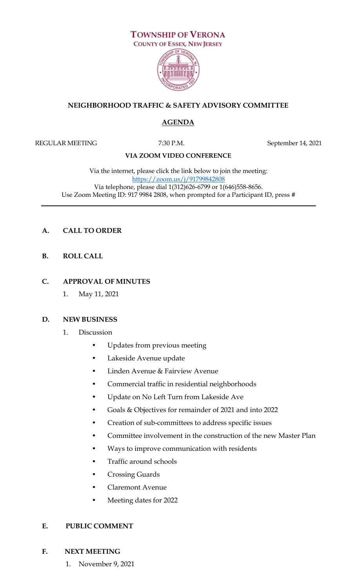

## **NEIGHBORHOOD TRAFFIC & SAFETY ADVISORY COMMITTEE**

# **AGENDA**

REGULAR MEETING 7:30 P.M. September 14, 2021

## **VIA ZOOM VIDEO CONFERENCE**

Via the internet, please click the link below to join the meeting: <https://zoom.us/j/91799842808> Via telephone, please dial 1(312)626-6799 or 1(646)558-8656. Use Zoom Meeting ID: 917 9984 2808, when prompted for a Participant ID, press #

## **A. CALL TO ORDER**

**B. ROLL CALL**

## **C. APPROVAL OF MINUTES**

1. May 11, 2021

#### **D. NEW BUSINESS**

- 1. Discussion
	- Updates from previous meeting
	- Lakeside Avenue update
	- Linden Avenue & Fairview Avenue
	- Commercial traffic in residential neighborhoods
	- Update on No Left Turn from Lakeside Ave
	- Goals & Objectives for remainder of 2021 and into 2022
	- Creation of sub-committees to address specific issues
	- Committee involvement in the construction of the new Master Plan
	- Ways to improve communication with residents
	- Traffic around schools
	- Crossing Guards
	- Claremont Avenue
	- Meeting dates for 2022

#### **E. PUBLIC COMMENT**

#### **F. NEXT MEETING**

1. November 9, 2021